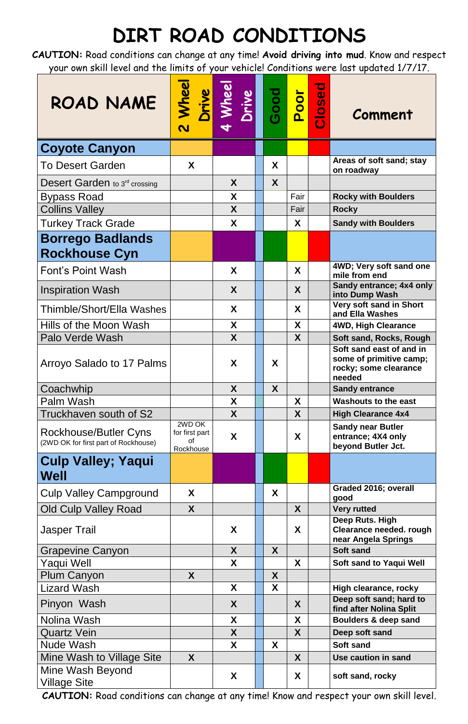## **DIRT ROAD CONDITIONS**

**CAUTION:** Road conditions can change at any time! **Avoid driving into mud**. Know and respect your own skill level and the limits of your vehicle! Conditions were last updated 1/7/17.

| ROAD NAME                                                     | <b>Wheel</b><br>Drive<br>$\overline{\mathbf{C}}$ | Mhee<br>Drive | Good | Poor         | Closed | Comment                                                                                |
|---------------------------------------------------------------|--------------------------------------------------|---------------|------|--------------|--------|----------------------------------------------------------------------------------------|
| <b>Coyote Canyon</b>                                          |                                                  |               |      |              |        |                                                                                        |
| <b>To Desert Garden</b>                                       | X                                                |               | X    |              |        | Areas of soft sand; stay                                                               |
|                                                               |                                                  | X             | X    |              |        | on roadway                                                                             |
| Desert Garden to 3rd crossing                                 |                                                  | X             |      | Fair         |        | <b>Rocky with Boulders</b>                                                             |
| <b>Bypass Road</b><br><b>Collins Valley</b>                   |                                                  | $\mathsf{X}$  |      | Fair         |        | <b>Rocky</b>                                                                           |
| <b>Turkey Track Grade</b>                                     |                                                  | X             |      | X.           |        | <b>Sandy with Boulders</b>                                                             |
| <b>Borrego Badlands</b>                                       |                                                  |               |      |              |        |                                                                                        |
| <b>Rockhouse Cyn</b>                                          |                                                  |               |      |              |        |                                                                                        |
| <b>Font's Point Wash</b>                                      |                                                  | $\mathbf{X}$  |      | X            |        | 4WD; Very soft sand one<br>mile from end                                               |
| <b>Inspiration Wash</b>                                       |                                                  | X             |      | X            |        | Sandy entrance; 4x4 only<br>into Dump Wash                                             |
| Thimble/Short/Ella Washes                                     |                                                  | X             |      | X            |        | Very soft sand in Short<br>and Ella Washes                                             |
| Hills of the Moon Wash                                        |                                                  | X             |      | X            |        | 4WD, High Clearance                                                                    |
| Palo Verde Wash                                               |                                                  | X             |      | X            |        | Soft sand, Rocks, Rough                                                                |
| Arroyo Salado to 17 Palms                                     |                                                  | X             | X    |              |        | Soft sand east of and in<br>some of primitive camp;<br>rocky; some clearance<br>needed |
| Coachwhip                                                     |                                                  | X             | X    |              |        | <b>Sandy entrance</b>                                                                  |
| Palm Wash                                                     |                                                  | X             |      | X            |        | <b>Washouts to the east</b>                                                            |
| Truckhaven south of S2                                        | 2WD OK                                           | X             |      | X            |        | <b>High Clearance 4x4</b>                                                              |
| Rockhouse/Butler Cyns<br>(2WD OK for first part of Rockhouse) | for first part<br><sub>of</sub><br>Rockhouse     | X             |      | X            |        | <b>Sandy near Butler</b><br>entrance; 4X4 only<br>beyond Butler Jct.                   |
| <b>Culp Valley; Yaqui</b><br><b>Well</b>                      |                                                  |               |      |              |        |                                                                                        |
| <b>Culp Valley Campground</b>                                 | X                                                |               | X    |              |        | Graded 2016; overall<br>good                                                           |
| <b>Old Culp Valley Road</b>                                   | X                                                |               |      | X            |        | <b>Very rutted</b>                                                                     |
| <b>Jasper Trail</b>                                           |                                                  | X             |      | X            |        | Deep Ruts. High<br><b>Clearance needed. rough</b><br>near Angela Springs               |
| <b>Grapevine Canyon</b>                                       |                                                  | X             | X    |              |        | <b>Soft sand</b>                                                                       |
| Yaqui Well                                                    |                                                  | X             |      | X            |        | <b>Soft sand to Yaqui Well</b>                                                         |
| <b>Plum Canyon</b>                                            | X                                                |               | X    |              |        |                                                                                        |
| <b>Lizard Wash</b>                                            |                                                  | X             | X    |              |        | High clearance, rocky                                                                  |
| Pinyon Wash                                                   |                                                  | X             |      | X            |        | Deep soft sand; hard to<br>find after Nolina Split                                     |
| Nolina Wash                                                   |                                                  | X             |      | X            |        | Boulders & deep sand                                                                   |
| <b>Quartz Vein</b>                                            |                                                  | $\mathsf{X}$  |      | $\mathsf{X}$ |        | Deep soft sand                                                                         |
| Nude Wash                                                     |                                                  | X             | X    |              |        | <b>Soft sand</b>                                                                       |
| Mine Wash to Village Site                                     | $\mathsf{X}$                                     |               |      | $\mathsf{X}$ |        | Use caution in sand                                                                    |
| Mine Wash Beyond<br><b>Village Site</b>                       |                                                  | X             |      | X            |        | soft sand, rocky                                                                       |

**CAUTION:** Road conditions can change at any time! Know and respect your own skill level.